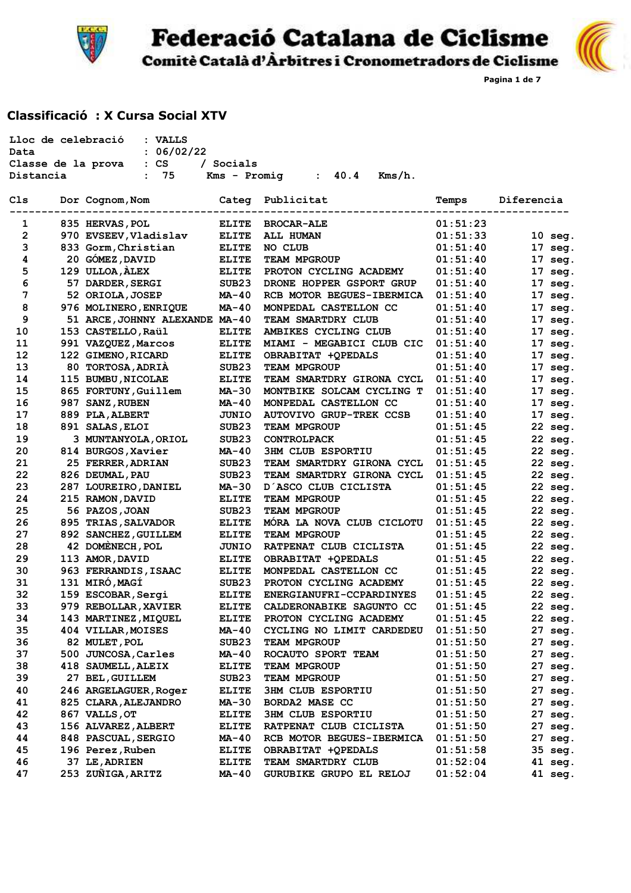**Federació Catalana de Ciclisme** 



Comitè Català d'Àrbitres i Cronometradors de Ciclisme

**Pagina 1 de 7**

#### **Classificació : X Cursa Social XTV**

| Lloc de celebració | : VALLS                                                                                   |                   |                                                       |          |                   |
|--------------------|-------------------------------------------------------------------------------------------|-------------------|-------------------------------------------------------|----------|-------------------|
| Data               | : 06/02/22                                                                                |                   |                                                       |          |                   |
|                    | Classe de la prova : CS                                                                   | / Socials         |                                                       |          |                   |
| Distancia          | $\mathcal{L}^{\text{max}}_{\text{max}}$ and $\mathcal{L}^{\text{max}}_{\text{max}}$<br>75 |                   | $Kms - Promig : 40.4$<br>Kms/h.                       |          |                   |
| Cls                | Dor Cognom, Nom                                                                           |                   | Categ Publicitat<br>--------------------------------- | Temps    | Diferencia        |
| 1                  | 835 HERVAS, POL                                                                           | <b>ELITE</b>      | <b>BROCAR-ALE</b>                                     | 01:51:23 |                   |
| $\overline{2}$     | 970 EVSEEV, Vladislav                                                                     | <b>ELITE</b>      | ALL HUMAN                                             | 01:51:33 | $10$ seg.         |
| 3                  | 833 Gorm, Christian                                                                       | <b>ELITE</b>      | NO CLUB                                               | 01:51:40 | 17 seg.           |
| 4                  | 20 GÓMEZ, DAVID                                                                           | <b>ELITE</b>      | TEAM MPGROUP                                          | 01:51:40 | $17 \text{ seg.}$ |
| 5                  | 129 ULLOA, ALEX                                                                           | ELITE             | PROTON CYCLING ACADEMY                                | 01:51:40 | 17 seg.           |
| 6                  | 57 DARDER, SERGI                                                                          | SUB23             | DRONE HOPPER GSPORT GRUP                              | 01:51:40 | 17 seg.           |
| 7                  | 52 ORIOLA, JOSEP                                                                          | MA-40             | RCB MOTOR BEGUES-IBERMICA                             | 01:51:40 | 17 seg.           |
| 8                  | 976 MOLINERO, ENRIQUE                                                                     | <b>MA-40</b>      | MONPEDAL CASTELLON CC                                 | 01:51:40 | 17 seg.           |
| 9                  | 51 ARCE, JOHNNY ALEXANDE MA-40                                                            |                   | TEAM SMARTDRY CLUB                                    | 01:51:40 | $17 \text{ seg.}$ |
| 10                 | 153 CASTELLO, Raül                                                                        | <b>ELITE</b>      | AMBIKES CYCLING CLUB                                  | 01:51:40 | 17 seg.           |
| 11                 | 991 VAZQUEZ, Marcos                                                                       | <b>ELITE</b>      | MIAMI - MEGABICI CLUB CIC                             | 01:51:40 | $17$ seg.         |
| 12                 | 122 GIMENO, RICARD                                                                        | <b>ELITE</b>      | OBRABITAT +QPEDALS                                    | 01:51:40 | 17 seg.           |
| 13                 | 80 TORTOSA, ADRIA                                                                         | SUB <sub>23</sub> | TEAM MPGROUP                                          | 01:51:40 | $17 \text{ seg.}$ |
| 14                 | 115 BUMBU, NICOLAE                                                                        | <b>ELITE</b>      | TEAM SMARTDRY GIRONA CYCL                             | 01:51:40 | 17 seg.           |
| 15                 | 865 FORTUNY, Guillem                                                                      | MA-30             | MONTBIKE SOLCAM CYCLING T                             | 01:51:40 | 17 seg.           |
| 16                 | 987 SANZ, RUBEN                                                                           | MA-40             | MONPEDAL CASTELLON CC                                 | 01:51:40 | 17 seg.           |
| 17                 | 889 PLA, ALBERT                                                                           | JUNIO             | <b>AUTOVIVO GRUP-TREK CCSB</b>                        | 01:51:40 | 17 seg.           |
| 18                 | 891 SALAS, ELOI                                                                           | SUB <sub>23</sub> | <b>TEAM MPGROUP</b>                                   | 01:51:45 | 22 seg.           |
| 19                 | 3 MUNTANYOLA, ORIOL                                                                       | SUB <sub>23</sub> | <b>CONTROLPACK</b>                                    | 01:51:45 | 22 seg.           |
| 20                 | 814 BURGOS, Xavier                                                                        | MA-40             | <b>3HM CLUB ESPORTIU</b>                              | 01:51:45 | 22 seg.           |
| 21                 | 25 FERRER, ADRIAN                                                                         | SUB <sub>23</sub> | <b>TEAM SMARTDRY GIRONA CYCL</b>                      | 01:51:45 | 22 seg.           |
| 22                 | 826 DEUMAL, PAU                                                                           | SUB <sub>23</sub> | TEAM SMARTDRY GIRONA CYCL 01:51:45                    |          | 22 seg.           |
| 23                 | 287 LOUREIRO, DANIEL                                                                      | MA-30             | D'ASCO CLUB CICLISTA                                  | 01:51:45 | 22 seg.           |
| 24                 | 215 RAMON, DAVID                                                                          | <b>ELITE</b>      | <b>TEAM MPGROUP</b>                                   | 01:51:45 | 22 seg.           |
| 25                 | 56 PAZOS, JOAN                                                                            | SUB <sub>23</sub> | <b>TEAM MPGROUP</b>                                   | 01:51:45 | 22 seg.           |
| 26                 | 895 TRIAS, SALVADOR                                                                       | <b>ELITE</b>      | MORA LA NOVA CLUB CICLOTU                             | 01:51:45 | 22 seg.           |
| 27                 | 892 SANCHEZ, GUILLEM                                                                      | <b>ELITE</b>      | <b>TEAM MPGROUP</b>                                   | 01:51:45 | 22 seg.           |
| 28                 | 42 DOMENECH, POL                                                                          | JUNIO             | RATPENAT CLUB CICLISTA                                | 01:51:45 | 22 seg.           |
| 29                 | 113 AMOR, DAVID                                                                           | <b>ELITE</b>      | OBRABITAT +QPEDALS                                    | 01:51:45 | 22 seg.           |
| 30                 | 963 FERRANDIS, ISAAC                                                                      | <b>ELITE</b>      | MONPEDAL CASTELLON CC                                 | 01:51:45 | 22 seg.           |
| 31                 | 131 MIRÓ, MAGÍ                                                                            | SUB <sub>23</sub> | PROTON CYCLING ACADEMY                                | 01:51:45 | 22 seg.           |
| 32                 | 159 ESCOBAR, Sergi                                                                        | <b>ELITE</b>      | ENERGIANUFRI-CCPARDINYES                              | 01:51:45 | 22 seg.           |
| 33                 | 979 REBOLLAR, XAVIER                                                                      | <b>ELITE</b>      | CALDERONABIKE SAGUNTO CC                              | 01:51:45 | 22 seg.           |
| 34                 | 143 MARTINEZ, MIQUEL                                                                      | ELITE             | PROTON CYCLING ACADEMY                                | 01:51:45 | 22 seg.           |
| 35                 | 404 VILLAR, MOISES                                                                        | MA-40             | CYCLING NO LIMIT CARDEDEU                             | 01:51:50 | 27 seg.           |
| 36                 | 82 MULET, POL                                                                             | SUB23             | TEAM MPGROUP                                          | 01:51:50 | 27 seg.           |
| 37                 | 500 JUNCOSA, Carles                                                                       | MA-40             | ROCAUTO SPORT TEAM                                    | 01:51:50 | 27 seg.           |
| 38                 | 418 SAUMELL, ALEIX                                                                        | ELITE             | TEAM MPGROUP                                          | 01:51:50 | 27 seg.           |
| 39                 | 27 BEL, GUILLEM                                                                           | SUB23             | TEAM MPGROUP                                          | 01:51:50 | 27 seg.           |
| 40                 | 246 ARGELAGUER, Roger                                                                     | <b>ELITE</b>      | <b>3HM CLUB ESPORTIU</b>                              | 01:51:50 | 27 seg.           |
| 41                 | 825 CLARA, ALEJANDRO                                                                      | MA-30             | <b>BORDA2 MASE CC</b>                                 | 01:51:50 | 27 seg.           |
| 42                 | 867 VALLS, OT                                                                             | ELITE             | <b>3HM CLUB ESPORTIU</b>                              | 01:51:50 | 27 seg.           |
| 43                 | 156 ALVAREZ, ALBERT                                                                       | <b>ELITE</b>      | RATPENAT CLUB CICLISTA                                | 01:51:50 | 27 seg.           |
| 44                 | 848 PASCUAL, SERGIO                                                                       | MA-40             | RCB MOTOR BEGUES-IBERMICA                             | 01:51:50 | 27 seg.           |
| 45                 | 196 Perez, Ruben                                                                          | <b>ELITE</b>      | OBRABITAT +QPEDALS                                    | 01:51:58 | 35 seg.           |
| 46                 | 37 LE, ADRIEN                                                                             | <b>ELITE</b>      | TEAM SMARTDRY CLUB                                    | 01:52:04 | 41 seg.           |
| 47                 | 253 ZUÑIGA, ARITZ                                                                         | MA-40             | GURUBIKE GRUPO EL RELOJ                               | 01:52:04 | 41 seg.           |
|                    |                                                                                           |                   |                                                       |          |                   |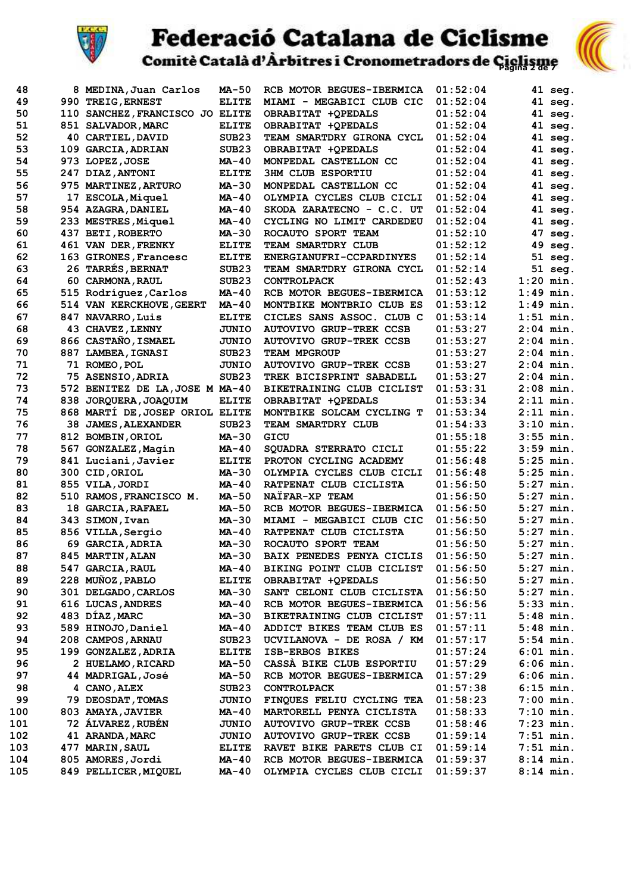

### **Federació Catalana de Ciclisme**<br>Comitè Català d'Àrbitres i Cronometradors de Giglisme



| 48  | 8 MEDINA, Juan Carlos           | <b>MA-50</b>      | RCB MOTOR BEGUES-IBERMICA      | 01:52:04 | $41$ seg.   |
|-----|---------------------------------|-------------------|--------------------------------|----------|-------------|
| 49  | 990 TREIG, ERNEST               | <b>ELITE</b>      | MIAMI - MEGABICI CLUB CIC      | 01:52:04 | 41 seg.     |
| 50  | 110 SANCHEZ, FRANCISCO JO ELITE |                   | OBRABITAT +QPEDALS             | 01:52:04 | $41$ seg.   |
| 51  | 851 SALVADOR, MARC              | <b>ELITE</b>      | OBRABITAT +QPEDALS             | 01:52:04 | 41 seg.     |
| 52  | 40 CARTIEL, DAVID               | SUB <sub>23</sub> | TEAM SMARTDRY GIRONA CYCL      | 01:52:04 | 41 seg.     |
| 53  | 109 GARCIA, ADRIAN              | SUB <sub>23</sub> | OBRABITAT +QPEDALS             | 01:52:04 | 41 seg.     |
| 54  | 973 LOPEZ, JOSE                 | MA-40             | MONPEDAL CASTELLON CC          | 01:52:04 | 41 seg.     |
| 55  | 247 DIAZ, ANTONI                | <b>ELITE</b>      | <b>3HM CLUB ESPORTIU</b>       | 01:52:04 | 41 seg.     |
| 56  | 975 MARTINEZ, ARTURO            | <b>MA-30</b>      | MONPEDAL CASTELLON CC          | 01:52:04 | 41 seg.     |
| 57  | 17 ESCOLA, Miquel               | MA-40             | OLYMPIA CYCLES CLUB CICLI      | 01:52:04 | 41 seg.     |
| 58  | 954 AZAGRA, DANIEL              | $MA-40$           | SKODA ZARATECNO - C.C. UT      | 01:52:04 | $41$ seq.   |
| 59  | 233 MESTRES, Miquel             | MA-40             | CYCLING NO LIMIT CARDEDEU      | 01:52:04 | 41 seg.     |
| 60  | 437 BETI, ROBERTO               | MA-30             | ROCAUTO SPORT TEAM             | 01:52:10 | 47 seg.     |
| 61  | 461 VAN DER, FRENKY             | <b>ELITE</b>      | TEAM SMARTDRY CLUB             | 01:52:12 | 49 seg.     |
| 62  | 163 GIRONES, Francesc           | <b>ELITE</b>      | ENERGIANUFRI-CCPARDINYES       | 01:52:14 | 51 seg.     |
| 63  | 26 TARRÉS, BERNAT               | SUB <sub>23</sub> | TEAM SMARTDRY GIRONA CYCL      | 01:52:14 | 51 seg.     |
| 64  |                                 | SUB <sub>23</sub> |                                | 01:52:43 | $1:20$ min. |
|     | 60 CARMONA, RAUL                |                   | <b>CONTROLPACK</b>             |          |             |
| 65  | 515 Rodríguez, Carlos           | MA-40             | RCB MOTOR BEGUES-IBERMICA      | 01:53:12 | $1:49$ min. |
| 66  | 514 VAN KERCKHOVE, GEERT        | $MA-40$           | MONTBIKE MONTBRIO CLUB ES      | 01:53:12 | $1:49$ min. |
| 67  | 847 NAVARRO, Luis               | <b>ELITE</b>      | CICLES SANS ASSOC. CLUB C      | 01:53:14 | $1:51$ min. |
| 68  | 43 CHAVEZ, LENNY                | <b>JUNIO</b>      | <b>AUTOVIVO GRUP-TREK CCSB</b> | 01:53:27 | $2:04$ min. |
| 69  | 866 CASTAÑO, ISMAEL             | <b>JUNIO</b>      | <b>AUTOVIVO GRUP-TREK CCSB</b> | 01:53:27 | $2:04$ min. |
| 70  | 887 LAMBEA, IGNASI              | SUB <sub>23</sub> | <b>TEAM MPGROUP</b>            | 01:53:27 | $2:04$ min. |
| 71  | 71 ROMEO, POL                   | <b>JUNIO</b>      | <b>AUTOVIVO GRUP-TREK CCSB</b> | 01:53:27 | $2:04$ min. |
| 72  | 75 ASENSIO, ADRIA               | SUB <sub>23</sub> | TREK BICISPRINT SABADELL       | 01:53:27 | $2:04$ min. |
| 73  | 572 BENITEZ DE LA, JOSE M MA-40 |                   | BIKETRAINING CLUB CICLIST      | 01:53:31 | $2:08$ min. |
| 74  | 838 JORQUERA, JOAQUIM           | <b>ELITE</b>      | OBRABITAT +QPEDALS             | 01:53:34 | $2:11$ min. |
| 75  | 868 MARTI DE, JOSEP ORIOL ELITE |                   | MONTBIKE SOLCAM CYCLING T      | 01:53:34 | $2:11$ min. |
| 76  | 38 JAMES, ALEXANDER             | SUB <sub>23</sub> | <b>TEAM SMARTDRY CLUB</b>      | 01:54:33 | $3:10$ min. |
| 77  | 812 BOMBIN, ORIOL               | <b>MA-30</b>      | GICU                           | 01:55:18 | $3:55$ min. |
| 78  | 567 GONZALEZ, Magín             | MA-40             | SQUADRA STERRATO CICLI         | 01:55:22 | $3:59$ min. |
| 79  | 841 Luciani, Javier             | <b>ELITE</b>      | PROTON CYCLING ACADEMY         | 01:56:48 | $5:25$ min. |
| 80  | 300 CID, ORIOL                  | <b>MA-30</b>      | OLYMPIA CYCLES CLUB CICLI      | 01:56:48 | $5:25$ min. |
| 81  | 855 VILA, JORDI                 | <b>MA-40</b>      | RATPENAT CLUB CICLISTA         | 01:56:50 | $5:27$ min. |
| 82  | 510 RAMOS, FRANCISCO M.         | <b>MA-50</b>      | NATFAR-XP TEAM                 | 01:56:50 | $5:27$ min. |
| 83  | 18 GARCIA, RAFAEL               | MA-50             | RCB MOTOR BEGUES-IBERMICA      | 01:56:50 | $5:27$ min. |
| 84  | 343 SIMON, Ivan                 | MA-30             | MIAMI - MEGABICI CLUB CIC      | 01:56:50 | $5:27$ min. |
| 85  | 856 VILLA, Sergio               | MA-40             | RATPENAT CLUB CICLISTA         | 01:56:50 | $5:27$ min. |
| 86  | 69 GARCIA, ADRIA                | MA-30             | ROCAUTO SPORT TEAM             | 01:56:50 | $5:27$ min. |
| 87  | 845 MARTIN, ALAN                | $MA-30$           | BAIX PENEDES PENYA CICLIS      | 01:56:50 | $5:27$ min. |
| 88  | 547 GARCIA, RAUL                | MA-40             | BIKING POINT CLUB CICLIST      | 01:56:50 | $5:27$ min. |
| 89  | 228 MUÑOZ, PABLO                | <b>ELITE</b>      | OBRABITAT +QPEDALS             | 01:56:50 | $5:27$ min. |
| 90  | 301 DELGADO, CARLOS             | MA-30             | SANT CELONI CLUB CICLISTA      | 01:56:50 | $5:27$ min. |
| 91  | 616 LUCAS, ANDRES               | MA-40             | RCB MOTOR BEGUES-IBERMICA      | 01:56:56 | $5:33$ min. |
| 92  |                                 |                   |                                |          | $5:48$ min. |
|     | 483 DIAZ, MARC                  | MA-30             | BIKETRAINING CLUB CICLIST      | 01:57:11 |             |
| 93  | 589 HINOJO, Daniel              | MA-40             | ADDICT BIKES TEAM CLUB ES      | 01:57:11 | $5:48$ min. |
| 94  | 208 CAMPOS, ARNAU               | SUB <sub>23</sub> | UCVILANOVA - DE ROSA / KM      | 01:57:17 | $5:54$ min. |
| 95  | 199 GONZALEZ, ADRIA             | <b>ELITE</b>      | ISB-ERBOS BIKES                | 01:57:24 | $6:01$ min. |
| 96  | 2 HUELAMO, RICARD               | <b>MA-50</b>      | CASSA BIKE CLUB ESPORTIU       | 01:57:29 | $6:06$ min. |
| 97  | 44 MADRIGAL, José               | <b>MA-50</b>      | RCB MOTOR BEGUES-IBERMICA      | 01:57:29 | $6:06$ min. |
| 98  | 4 CANO, ALEX                    | SUB <sub>23</sub> | <b>CONTROLPACK</b>             | 01:57:38 | $6:15$ min. |
| 99  | 79 DEOSDAT, TOMAS               | JUNIO             | FINQUES FELIU CYCLING TEA      | 01:58:23 | $7:00$ min. |
| 100 | 803 AMAYA, JAVIER               | MA-40             | MARTORELL PENYA CICLISTA       | 01:58:33 | $7:10$ min. |
| 101 | 72 ALVAREZ, RUBEN               | <b>JUNIO</b>      | <b>AUTOVIVO GRUP-TREK CCSB</b> | 01:58:46 | $7:23$ min. |
| 102 | 41 ARANDA, MARC                 | JUNIO             | <b>AUTOVIVO GRUP-TREK CCSB</b> | 01:59:14 | $7:51$ min. |
| 103 | 477 MARIN, SAUL                 | <b>ELITE</b>      | RAVET BIKE PARETS CLUB CI      | 01:59:14 | $7:51$ min. |
| 104 | 805 AMORES, Jordi               | MA-40             | RCB MOTOR BEGUES-IBERMICA      | 01:59:37 | $8:14$ min. |
| 105 | 849 PELLICER, MIQUEL            | MA-40             | OLYMPIA CYCLES CLUB CICLI      | 01:59:37 | $8:14$ min. |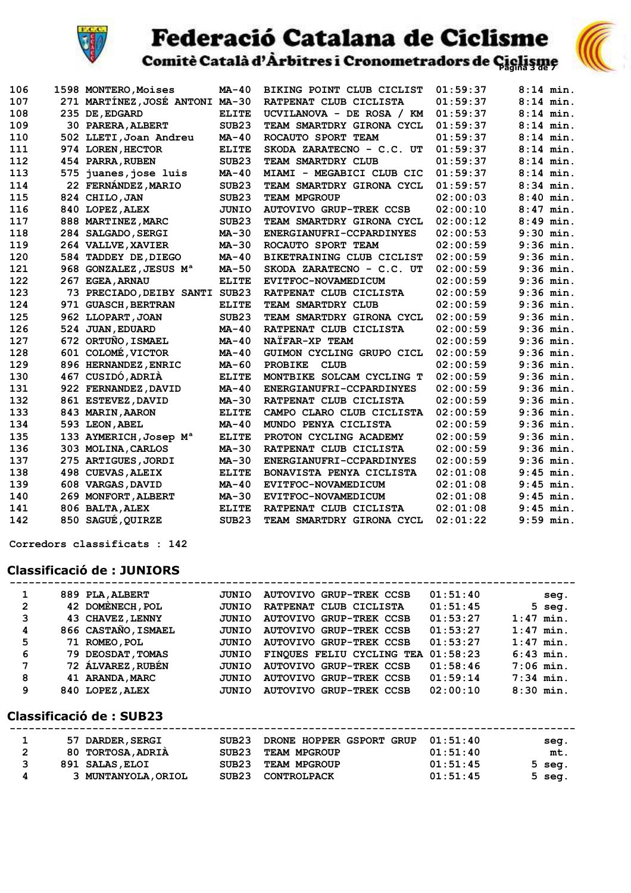

# **Federació Catalana de Ciclisme**<br>Comitè Català d'Arbitres i Cronometradors de Giglisme



| 106 |     | 1598 MONTERO, Moises               | MA-40             | BIKING POINT CLUB CICLIST      | 01:59:37 | $8:14$ min. |
|-----|-----|------------------------------------|-------------------|--------------------------------|----------|-------------|
| 107 |     | 271 MARTÍNEZ, JOSÉ ANTONI MA-30    |                   | RATPENAT CLUB CICLISTA         | 01:59:37 | $8:14$ min. |
| 108 |     | 235 DE, EDGARD                     | <b>ELITE</b>      | UCVILANOVA - DE ROSA / KM      | 01:59:37 | $8:14$ min. |
| 109 |     | 30 PARERA, ALBERT                  | SUB <sub>23</sub> | TEAM SMARTDRY GIRONA CYCL      | 01:59:37 | $8:14$ min. |
| 110 |     | 502 LLETI, Joan Andreu             | MA-40             | ROCAUTO SPORT TEAM             | 01:59:37 | $8:14$ min. |
| 111 |     | 974 LOREN, HECTOR                  | <b>ELITE</b>      | SKODA ZARATECNO - C.C. UT      | 01:59:37 | $8:14$ min. |
| 112 |     | 454 PARRA, RUBEN                   | SUB <sub>23</sub> | TEAM SMARTDRY CLUB             | 01:59:37 | $8:14$ min. |
| 113 | 575 | juanes, jose luis                  | $MA-40$           | MIAMI - MEGABICI CLUB CIC      | 01:59:37 | $8:14$ min. |
| 114 |     | 22 FERNÁNDEZ, MARIO                | SUB <sub>23</sub> | TEAM SMARTDRY GIRONA CYCL      | 01:59:57 | $8:34$ min. |
| 115 |     | 824 CHILO, JAN                     | SUB <sub>23</sub> | <b>TEAM MPGROUP</b>            | 02:00:03 | $8:40$ min. |
| 116 |     | 840 LOPEZ, ALEX                    | <b>JUNIO</b>      | <b>AUTOVIVO GRUP-TREK CCSB</b> | 02:00:10 | $8:47$ min. |
| 117 |     | 888 MARTINEZ, MARC                 | SUB <sub>23</sub> | TEAM SMARTDRY GIRONA CYCL      | 02:00:12 | $8:49$ min. |
| 118 |     | 284 SALGADO, SERGI                 | $MA-30$           | ENERGIANUFRI-CCPARDINYES       | 02:00:53 | $9:30$ min. |
| 119 |     | 264 VALLVE, XAVIER                 | $MA-30$           | ROCAUTO SPORT TEAM             | 02:00:59 | $9:36$ min. |
| 120 |     | 584 TADDEY DE, DIEGO               | MA-40             | BIKETRAINING CLUB CICLIST      | 02:00:59 | $9:36$ min. |
| 121 |     | 968 GONZALEZ, JESUS M <sup>a</sup> | <b>MA-50</b>      | SKODA ZARATECNO - C.C. UT      | 02:00:59 | $9:36$ min. |
| 122 |     | 267 EGEA, ARNAU                    | <b>ELITE</b>      | EVITFOC-NOVAMEDICUM            | 02:00:59 | $9:36$ min. |
| 123 |     | 73 PRECIADO, DEIBY SANTI           | SUB <sub>23</sub> | RATPENAT CLUB CICLISTA         | 02:00:59 | $9:36$ min. |
| 124 |     | 971 GUASCH, BERTRAN                | <b>ELITE</b>      | TEAM SMARTDRY CLUB             | 02:00:59 | $9:36$ min. |
| 125 |     | 962 LLOPART, JOAN                  | SUB <sub>23</sub> | TEAM SMARTDRY GIRONA CYCL      | 02:00:59 | $9:36$ min. |
| 126 |     | 524 JUAN, EDUARD                   | $MA-40$           | RATPENAT CLUB CICLISTA         | 02:00:59 | $9:36$ min. |
| 127 |     | 672 ORTUÑO, ISMAEL                 | $MA-40$           | NAIFAR-XP TEAM                 | 02:00:59 | $9:36$ min. |
| 128 |     | 601 COLOMÉ, VICTOR                 | $MA-40$           | GUIMON CYCLING GRUPO CICL      | 02:00:59 | $9:36$ min. |
| 129 |     | 896 HERNANDEZ, ENRIC               | MA-60             | <b>CLUB</b><br><b>PROBIKE</b>  | 02:00:59 | $9:36$ min. |
| 130 |     | 467 CUSIDÓ, ADRIÀ                  | <b>ELITE</b>      | MONTBIKE SOLCAM CYCLING T      | 02:00:59 | $9:36$ min. |
| 131 |     | 922 FERNANDEZ, DAVID               | $MA-40$           | ENERGIANUFRI-CCPARDINYES       | 02:00:59 | $9:36$ min. |
| 132 |     | 861 ESTEVEZ, DAVID                 | $MA-30$           | RATPENAT CLUB CICLISTA         | 02:00:59 | $9:36$ min. |
| 133 |     | 843 MARIN, AARON                   | <b>ELITE</b>      | CAMPO CLARO CLUB CICLISTA      | 02:00:59 | $9:36$ min. |
| 134 |     | 593 LEON, ABEL                     | MA-40             | MUNDO PENYA CICLISTA           | 02:00:59 | $9:36$ min. |
| 135 |     | 133 AYMERICH, Josep M <sup>a</sup> | <b>ELITE</b>      | PROTON CYCLING ACADEMY         | 02:00:59 | $9:36$ min. |
| 136 |     | 303 MOLINA, CARLOS                 | $MA-30$           | RATPENAT CLUB CICLISTA         | 02:00:59 | $9:36$ min. |
| 137 |     | 275 ARTIGUES, JORDI                | MA-30             | ENERGIANUFRI-CCPARDINYES       | 02:00:59 | $9:36$ min. |
| 138 |     | 498 CUEVAS, ALEIX                  | <b>ELITE</b>      | BONAVISTA PENYA CICLISTA       | 02:01:08 | $9:45$ min. |
| 139 |     | 608 VARGAS, DAVID                  | MA-40             | EVITFOC-NOVAMEDICUM            | 02:01:08 | $9:45$ min. |
| 140 |     | 269 MONFORT, ALBERT                | $MA-30$           | EVITFOC-NOVAMEDICUM            | 02:01:08 | $9:45$ min. |
| 141 |     | 806 BALTA, ALEX                    | <b>ELITE</b>      | RATPENAT CLUB CICLISTA         | 02:01:08 | $9:45$ min. |
| 142 |     | 850 SAGUÉ, QUIRZE                  | SUB <sub>23</sub> | TEAM SMARTDRY GIRONA CYCL      | 02:01:22 | $9:59$ min. |

 **Corredors classificats : 142**

#### **Classificació de : JUNIORS**

| 1              | 889 PLA, ALBERT     | JUNIO        | AUTOVIVO GRUP-TREK CCSB            | 01:51:40 | seg.        |
|----------------|---------------------|--------------|------------------------------------|----------|-------------|
| $\overline{2}$ | 42 DOMENECH, POL    | JUNIO        | RATPENAT CLUB CICLISTA             | 01:51:45 | $5$ seg.    |
| 3              | 43 CHAVEZ, LENNY    | JUNIO        | AUTOVIVO GRUP-TREK CCSB            | 01:53:27 | $1:47$ min. |
| 4              | 866 CASTAÑO, ISMAEL | JUNIO        | <b>AUTOVIVO GRUP-TREK CCSB</b>     | 01:53:27 | $1:47$ min. |
| 5              | 71 ROMEO, POL       | <b>JUNIO</b> | <b>AUTOVIVO GRUP-TREK CCSB</b>     | 01:53:27 | $1:47$ min. |
| 6              | 79 DEOSDAT. TOMAS   | JUNIO        | FINQUES FELIU CYCLING TEA 01:58:23 |          | $6:43$ min. |
| 7              | 72 ÁLVAREZ, RUBÉN   | JUNIO        | <b>AUTOVIVO GRUP-TREK CCSB</b>     | 01:58:46 | $7:06$ min. |
| 8              | 41 ARANDA, MARC     | JUNIO        | AUTOVIVO GRUP-TREK CCSB            | 01:59:14 | $7:34$ min. |
| 9              | 840 LOPEZ, ALEX     | JUNIO        | <b>AUTOVIVO GRUP-TREK CCSB</b>     | 02:00:10 | $8:30$ min. |

#### **Classificació de : SUB23**

|   | 57 DARDER, SERGI    | SUB23 | DRONE HOPPER GSPORT GRUP | 01:51:40 | seg.     |
|---|---------------------|-------|--------------------------|----------|----------|
| 2 | 80 TORTOSA, ADRIA   | SUB23 | <b>TEAM MPGROUP</b>      | 01:51:40 | mt.      |
| 3 | 891 SALAS, ELOI     | SUB23 | <b>TEAM MPGROUP</b>      | 01:51:45 | $5$ seq. |
| 4 | 3 MUNTANYOLA, ORIOL | SUB23 | CONTROLPACK              | 01:51:45 | $5$ seq. |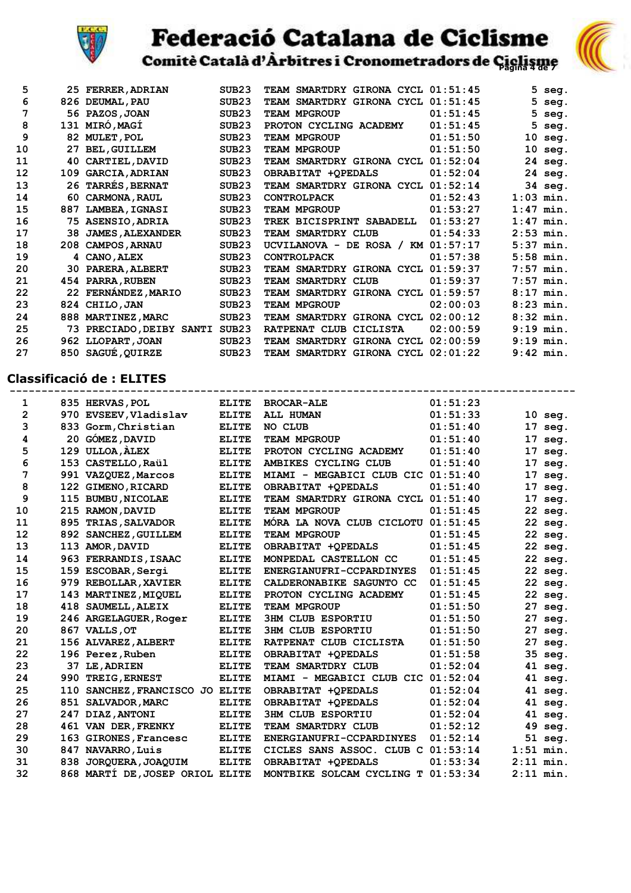

## **Federació Catalana de Ciclisme**<br>Comitè Català d'Àrbitres i Cronometradors de Giglisme



| 5  |     | 25 FERRER, ADRIAN       | SUB <sub>23</sub> | TEAM SMARTDRY GIRONA CYCL 01:51:45 |             |             | 5 seg.   |
|----|-----|-------------------------|-------------------|------------------------------------|-------------|-------------|----------|
| 6  |     | 826 DEUMAL, PAU         | SUB <sub>23</sub> | TEAM SMARTDRY GIRONA CYCL          | 01:51:45    |             | $5$ seg. |
| 7  |     | 56 PAZOS, JOAN          | SUB <sub>23</sub> | <b>TEAM MPGROUP</b>                | 01:51:45    | 5.          | seg.     |
| 8  |     | 131 MIRÓ, MAGÍ          | SUB <sub>23</sub> | PROTON CYCLING ACADEMY             | 01:51:45    |             | 5 seg.   |
| 9  |     | 82 MULET, POL           | SUB <sub>23</sub> | <b>TEAM MPGROUP</b>                | 01:51:50    | 10          | seg.     |
| 10 | 27  | <b>BEL, GUILLEM</b>     | SUB <sub>23</sub> | <b>TEAM MPGROUP</b>                | 01:51:50    | 10          | seq.     |
| 11 | 40  | CARTIEL, DAVID          | SUB <sub>23</sub> | TEAM SMARTDRY GIRONA CYCL          | 01:52:04    |             | 24 seg.  |
| 12 | 109 | <b>GARCIA, ADRIAN</b>   | SUB <sub>23</sub> | OBRABITAT +OPEDALS                 | 01:52:04    |             | 24 seg.  |
| 13 |     | 26 TARRÉS, BERNAT       | SUB <sub>23</sub> | TEAM SMARTDRY GIRONA CYCL          | 01:52:14    |             | 34 seg.  |
| 14 | 60  | <b>CARMONA, RAUL</b>    | SUB <sub>23</sub> | <b>CONTROLPACK</b>                 | 01:52:43    | $1:03$ min. |          |
| 15 | 887 | <b>LAMBEA, IGNASI</b>   | SUB <sub>23</sub> | <b>TEAM MPGROUP</b>                | 01:53:27    | $1:47$ min. |          |
| 16 |     | 75 ASENSIO, ADRIA       | SUB <sub>23</sub> | TREK BICISPRINT SABADELL           | 01:53:27    | $1:47$ min. |          |
| 17 | 38. | <b>JAMES, ALEXANDER</b> | SUB <sub>23</sub> | TEAM SMARTDRY CLUB                 | 01:54:33    | $2:53$ min. |          |
| 18 | 208 | <b>CAMPOS, ARNAU</b>    | SUB <sub>23</sub> | UCVILANOVA - DE ROSA /             | KM 01:57:17 | $5:37$ min. |          |
| 19 |     | 4 CANO, ALEX            | SUB <sub>23</sub> | <b>CONTROLPACK</b>                 | 01:57:38    | $5:58$ min. |          |
| 20 | 30. | PARERA, ALBERT          | SUB <sub>23</sub> | TEAM SMARTDRY GIRONA CYCL          | 01:59:37    | $7:57$ min. |          |
| 21 |     | 454 PARRA, RUBEN        | SUB <sub>23</sub> | TEAM SMARTDRY CLUB                 | 01:59:37    | $7:57$ min. |          |
| 22 |     | 22 FERNÁNDEZ, MARIO     | SUB <sub>23</sub> | TEAM SMARTDRY GIRONA CYCL          | 01:59:57    | $8:17$ min. |          |
| 23 |     | 824 CHILO, JAN          | SUB <sub>23</sub> | <b>TEAM MPGROUP</b>                | 02:00:03    | $8:23$ min. |          |
| 24 |     | 888 MARTINEZ, MARC      | SUB <sub>23</sub> | TEAM SMARTDRY GIRONA CYCL          | 02:00:12    | $8:32$ min. |          |
| 25 | 73. | PRECIADO, DEIBY SANTI   | SUB <sub>23</sub> | RATPENAT CLUB CICLISTA             | 02:00:59    | 9:19        | min.     |
| 26 |     | 962 LLOPART, JOAN       | SUB <sub>23</sub> | TEAM SMARTDRY GIRONA CYCL          | 02:00:59    | $9:19$ min. |          |
| 27 |     | 850 SAGUÉ, QUIRZE       | SUB <sub>23</sub> | TEAM SMARTDRY GIRONA CYCL 02:01:22 |             | $9:42$ min. |          |
|    |     |                         |                   |                                    |             |             |          |

### **Classificació de : ELITES**

| 1              |    | 835 HERVAS, POL                 | <b>ELITE</b> | <b>BROCAR-ALE</b>                  | 01:51:23 |                 |             |
|----------------|----|---------------------------------|--------------|------------------------------------|----------|-----------------|-------------|
| $\overline{2}$ |    | 970 EVSEEV, Vladislav           | <b>ELITE</b> | <b>ALL HUMAN</b>                   | 01:51:33 |                 | $10$ seg.   |
| 3              |    | 833 Gorm, Christian             | <b>ELITE</b> | NO CLUB                            | 01:51:40 | 17              | seq.        |
| 4              |    | 20 GÓMEZ, DAVID                 | <b>ELITE</b> | TEAM MPGROUP                       | 01:51:40 | 17              | seq.        |
| 5              |    | 129 ULLOA, ALEX                 | <b>ELITE</b> | PROTON CYCLING ACADEMY             | 01:51:40 | 17              | seq.        |
| 6              |    | 153 CASTELLO, Raül              | <b>ELITE</b> | AMBIKES CYCLING CLUB               | 01:51:40 | 17              | seq.        |
| 7              |    | 991 VAZQUEZ, Marcos             | <b>ELITE</b> | MIAMI - MEGABICI CLUB CIC 01:51:40 |          | 17              | seg.        |
| 8              |    | 122 GIMENO, RICARD              | <b>ELITE</b> | OBRABITAT +OPEDALS                 | 01:51:40 | 17              | seq.        |
| 9              |    | 115 BUMBU, NICOLAE              | <b>ELITE</b> | TEAM SMARTDRY GIRONA CYCL 01:51:40 |          | 17              | seg.        |
| 10             |    | 215 RAMON, DAVID                | <b>ELITE</b> | <b>TEAM MPGROUP</b>                | 01:51:45 | 22              | seq.        |
| 11             |    | 895 TRIAS, SALVADOR             | <b>ELITE</b> | MÓRA LA NOVA CLUB CICLOTU 01:51:45 |          |                 | 22 seg.     |
| 12             |    | 892 SANCHEZ, GUILLEM            | <b>ELITE</b> | <b>TEAM MPGROUP</b>                | 01:51:45 | 22 <sub>2</sub> | seg.        |
| 13             |    | 113 AMOR, DAVID                 | <b>ELITE</b> | OBRABITAT +QPEDALS                 | 01:51:45 | 22              | seg.        |
| 14             |    | 963 FERRANDIS, ISAAC            | <b>ELITE</b> | MONPEDAL CASTELLON CC              | 01:51:45 |                 | 22 seg.     |
| 15             |    | 159 ESCOBAR, Sergi              | <b>ELITE</b> | ENERGIANUFRI-CCPARDINYES           | 01:51:45 |                 | 22 seg.     |
| 16             |    | 979 REBOLLAR, XAVIER            | <b>ELITE</b> | CALDERONABIKE SAGUNTO CC           | 01:51:45 |                 | 22 seg.     |
| 17             |    | 143 MARTINEZ, MIQUEL            | <b>ELITE</b> | PROTON CYCLING ACADEMY             | 01:51:45 | 22              | seq.        |
| 18             |    | 418 SAUMELL, ALEIX              | <b>ELITE</b> | <b>TEAM MPGROUP</b>                | 01:51:50 | 27              | seg.        |
| 19             |    | 246 ARGELAGUER, Roger           | <b>ELITE</b> | <b>3HM CLUB ESPORTIU</b>           | 01:51:50 | 27              | seg.        |
| 20             |    | 867 VALLS, OT                   | <b>ELITE</b> | <b>3HM CLUB ESPORTIU</b>           | 01:51:50 | 27              | seq.        |
| 21             |    | 156 ALVAREZ, ALBERT             | <b>ELITE</b> | RATPENAT CLUB CICLISTA             | 01:51:50 | 27              | seg.        |
| 22             |    | 196 Perez, Ruben                | <b>ELITE</b> | OBRABITAT +OPEDALS                 | 01:51:58 |                 | 35 seg.     |
| 23             | 37 | LE, ADRIEN                      | <b>ELITE</b> | TEAM SMARTDRY CLUB                 | 01:52:04 |                 | 41 seg.     |
| 24             |    | 990 TREIG, ERNEST               | <b>ELITE</b> | MIAMI - MEGABICI CLUB CIC 01:52:04 |          |                 | 41 seg.     |
| 25             |    | 110 SANCHEZ, FRANCISCO JO ELITE |              | OBRABITAT +OPEDALS                 | 01:52:04 |                 | 41 seg.     |
| 26             |    | 851 SALVADOR, MARC              | <b>ELITE</b> | OBRABITAT +QPEDALS                 | 01:52:04 |                 | 41 seg.     |
| 27             |    | 247 DIAZ, ANTONI                | <b>ELITE</b> | <b>3HM CLUB ESPORTIU</b>           | 01:52:04 |                 | 41 seg.     |
| 28             |    | 461 VAN DER, FRENKY             | <b>ELITE</b> | TEAM SMARTDRY CLUB                 | 01:52:12 |                 | 49 seg.     |
| 29             |    | 163 GIRONES, Francesc           | <b>ELITE</b> | ENERGIANUFRI-CCPARDINYES           | 01:52:14 |                 | 51 seg.     |
| 30             |    | 847 NAVARRO, Luis               | <b>ELITE</b> | CICLES SANS ASSOC. CLUB C 01:53:14 |          |                 | $1:51$ min. |
| 31             |    | 838 JORQUERA, JOAQUIM           | <b>ELITE</b> | OBRABITAT +OPEDALS                 | 01:53:34 |                 | $2:11$ min. |
| 32             |    | 868 MARTÍ DE, JOSEP ORIOL ELITE |              | MONTBIKE SOLCAM CYCLING T 01:53:34 |          | $2:11$ min.     |             |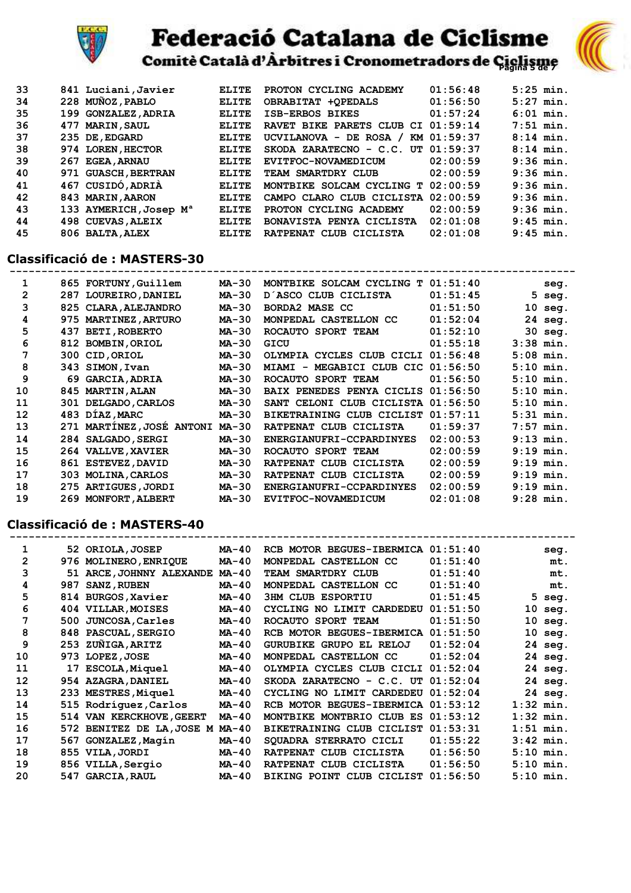

# **Federació Catalana de Ciclisme**<br>Comitè Català d'Arbitres i Cronometradors de Giglisme



| 33 | 841 Luciani, Javier                | <b>ELITE</b> | PROTON CYCLING ACADEMY             | 01:56:48    | $5:25$ min. |
|----|------------------------------------|--------------|------------------------------------|-------------|-------------|
| 34 | 228 MUÑOZ, PABLO                   | <b>ELITE</b> | OBRABITAT +OPEDALS                 | 01:56:50    | $5:27$ min. |
| 35 | 199 GONZALEZ, ADRIA                | <b>ELITE</b> | ISB-ERBOS BIKES                    | 01:57:24    | $6:01$ min. |
| 36 | <b>MARIN, SAUL</b><br>477          | <b>ELITE</b> | RAVET BIKE PARETS CLUB CI 01:59:14 |             | $7:51$ min. |
| 37 | 235 DE, EDGARD                     | <b>ELITE</b> | UCVILANOVA - DE ROSA /             | KM 01:59:37 | $8:14$ min. |
| 38 | 974 LOREN, HECTOR                  | <b>ELITE</b> | SKODA ZARATECNO - $C.C.$<br>UT     | 01:59:37    | $8:14$ min. |
| 39 | 267 EGEA, ARNAU                    | <b>ELITE</b> | EVITFOC-NOVAMEDICUM                | 02:00:59    | $9:36$ min. |
| 40 | 971 GUASCH, BERTRAN                | <b>ELITE</b> | TEAM SMARTDRY CLUB                 | 02:00:59    | $9:36$ min. |
| 41 | 467 CUSIDÓ, ADRIA                  | <b>ELITE</b> | MONTBIKE SOLCAM CYCLING T 02:00:59 |             | $9:36$ min. |
| 42 | 843 MARIN, AARON                   | <b>ELITE</b> | CAMPO CLARO CLUB CICLISTA 02:00:59 |             | $9:36$ min. |
| 43 | 133 AYMERICH, Josep M <sup>a</sup> | <b>ELITE</b> | PROTON CYCLING ACADEMY             | 02:00:59    | $9:36$ min. |
| 44 | 498 CUEVAS, ALEIX                  | <b>ELITE</b> | BONAVISTA PENYA CICLISTA           | 02:01:08    | $9:45$ min. |
| 45 | 806 BALTA, ALEX                    | <b>ELITE</b> | RATPENAT CLUB CICLISTA             | 02:01:08    | $9:45$ min. |

#### **Classificació de : MASTERS-30**

|              |     | 865 FORTUNY, Guillem      | MA-30        | MONTBIKE SOLCAM CYCLING<br>т       | 01:51:40 |             | seg.        |
|--------------|-----|---------------------------|--------------|------------------------------------|----------|-------------|-------------|
| $\mathbf{2}$ |     | 287 LOUREIRO, DANIEL      | <b>MA-30</b> | D'ASCO CLUB CICLISTA               | 01:51:45 | 5           | seg.        |
| 3            |     | 825 CLARA, ALEJANDRO      | <b>MA-30</b> | BORDA2 MASE CC                     | 01:51:50 | 10          | seg.        |
| 4            |     | 975 MARTINEZ, ARTURO      | <b>MA-30</b> | MONPEDAL CASTELLON CC              | 01:52:04 |             | 24 seg.     |
| 5            | 437 | <b>BETI, ROBERTO</b>      | <b>MA-30</b> | ROCAUTO SPORT TEAM                 | 01:52:10 |             | 30 seg.     |
| 6            |     | 812 BOMBIN, ORIOL         | <b>MA-30</b> | GICU                               | 01:55:18 |             | $3:38$ min. |
| 7            |     | 300 CID, ORIOL            | MA-30        | OLYMPIA CYCLES CLUB CICLI          | 01:56:48 |             | $5:08$ min. |
| 8            |     | 343 SIMON, Ivan           | <b>MA-30</b> | MIAMI - MEGABICI CLUB CIC 01:56:50 |          |             | $5:10$ min. |
| 9            |     | 69 GARCIA, ADRIA          | <b>MA-30</b> | ROCAUTO SPORT TEAM                 | 01:56:50 |             | $5:10$ min. |
| 10           | 845 | <b>MARTIN, ALAN</b>       | <b>MA-30</b> | BAIX PENEDES PENYA CICLIS          | 01:56:50 |             | $5:10$ min. |
| 11           |     | 301 DELGADO, CARLOS       | <b>MA-30</b> | SANT CELONI CLUB CICLISTA 01:56:50 |          |             | $5:10$ min. |
| 12           |     | 483 DÍAZ, MARC            | <b>MA-30</b> | BIKETRAINING CLUB CICLIST          | 01:57:11 |             | $5:31$ min. |
| 13           |     | 271 MARTINEZ, JOSE ANTONI | <b>MA-30</b> | RATPENAT CLUB CICLISTA             | 01:59:37 |             | $7:57$ min. |
| 14           |     | 284 SALGADO, SERGI        | <b>MA-30</b> | ENERGIANUFRI-CCPARDINYES           | 02:00:53 |             | $9:13$ min. |
| 15           |     | 264 VALLVE, XAVIER        | <b>MA-30</b> | ROCAUTO SPORT TEAM                 | 02:00:59 | $9:19$ min. |             |
| 16           |     | 861 ESTEVEZ, DAVID        | <b>MA-30</b> | RATPENAT CLUB CICLISTA             | 02:00:59 |             | $9:19$ min. |
| 17           | 303 | <b>MOLINA, CARLOS</b>     | <b>MA-30</b> | RATPENAT CLUB CICLISTA             | 02:00:59 |             | $9:19$ min. |
| 18           |     | 275 ARTIGUES, JORDI       | <b>MA-30</b> | ENERGIANUFRI-CCPARDINYES           | 02:00:59 | $9:19$ min. |             |
| 19           |     | 269 MONFORT, ALBERT       | <b>MA-30</b> | EVITFOC-NOVAMEDICUM                | 02:01:08 |             | $9:28$ min. |

### **Classificació de : MASTERS-40**

| 1            |     | 52 ORIOLA, JOSEP                | MA-40        | RCB MOTOR BEGUES-IBERMICA          | 01:51:40 |             | seq.        |
|--------------|-----|---------------------------------|--------------|------------------------------------|----------|-------------|-------------|
| $\mathbf{2}$ |     | 976 MOLINERO, ENRIQUE           | <b>MA-40</b> | MONPEDAL CASTELLON CC              | 01:51:40 |             | mt.         |
| 3            |     | 51 ARCE, JOHNNY ALEXANDE        | MA-40        | TEAM SMARTDRY CLUB                 | 01:51:40 |             | mt.         |
| 4            | 987 | <b>SANZ, RUBEN</b>              | MA-40        | MONPEDAL CASTELLON CC              | 01:51:40 |             | mt.         |
| 5            |     | 814 BURGOS, Xavier              | MA-40        | <b>3HM CLUB ESPORTIU</b>           | 01:51:45 |             | $5$ seg.    |
| 6            |     | 404 VILLAR, MOISES              | MA-40        | CYCLING NO LIMIT CARDEDEU          | 01:51:50 | 10          | seg.        |
| 7            |     | 500 JUNCOSA, Carles             | <b>MA-40</b> | ROCAUTO SPORT TEAM                 | 01:51:50 | 10          | seq.        |
| 8            |     | 848 PASCUAL, SERGIO             | MA-40        | RCB MOTOR BEGUES-IBERMICA          | 01:51:50 |             | $10$ seg.   |
| 9            |     | 253 ZUÑIGA, ARITZ               | MA-40        | <b>GURUBIKE GRUPO EL RELOJ</b>     | 01:52:04 |             | 24 seg.     |
| 10           |     | 973 LOPEZ, JOSE                 | MA-40        | MONPEDAL CASTELLON CC              | 01:52:04 |             | 24 seg.     |
| 11           |     | 17 ESCOLA, Miquel               | MA-40        | OLYMPIA CYCLES CLUB CICLI          | 01:52:04 |             | 24 seg.     |
| 12           |     | 954 AZAGRA, DANIEL              | <b>MA-40</b> | SKODA ZARATECNO - C.C. UT          | 01:52:04 |             | 24 seg.     |
| 13           |     | 233 MESTRES, Miquel             | MA-40        | CYCLING NO LIMIT CARDEDEU 01:52:04 |          |             | 24 seg.     |
| 14           |     | 515 Rodríguez, Carlos           | $MA-40$      | RCB MOTOR BEGUES-IBERMICA 01:53:12 |          | $1:32$ min. |             |
| 15           |     | 514 VAN KERCKHOVE, GEERT        | MA-40        | MONTBIKE MONTBRIO CLUB ES 01:53:12 |          | $1:32$ min. |             |
| 16           |     | 572 BENITEZ DE LA, JOSE M MA-40 |              | BIKETRAINING CLUB CICLIST          | 01:53:31 | $1:51$ min. |             |
| 17           | 567 | <b>GONZALEZ, Magín</b>          | <b>MA-40</b> | SOUADRA STERRATO CICLI             | 01:55:22 |             | $3:42$ min. |
| 18           |     | 855 VILA, JORDI                 | MA-40        | RATPENAT CLUB CICLISTA             | 01:56:50 | $5:10$ min. |             |
| 19           |     | 856 VILLA, Sergio               | MA-40        | RATPENAT CLUB CICLISTA             | 01:56:50 | $5:10$ min. |             |
| 20           |     | 547 GARCIA, RAUL                | <b>MA-40</b> | BIKING POINT CLUB CICLIST          | 01:56:50 |             | $5:10$ min. |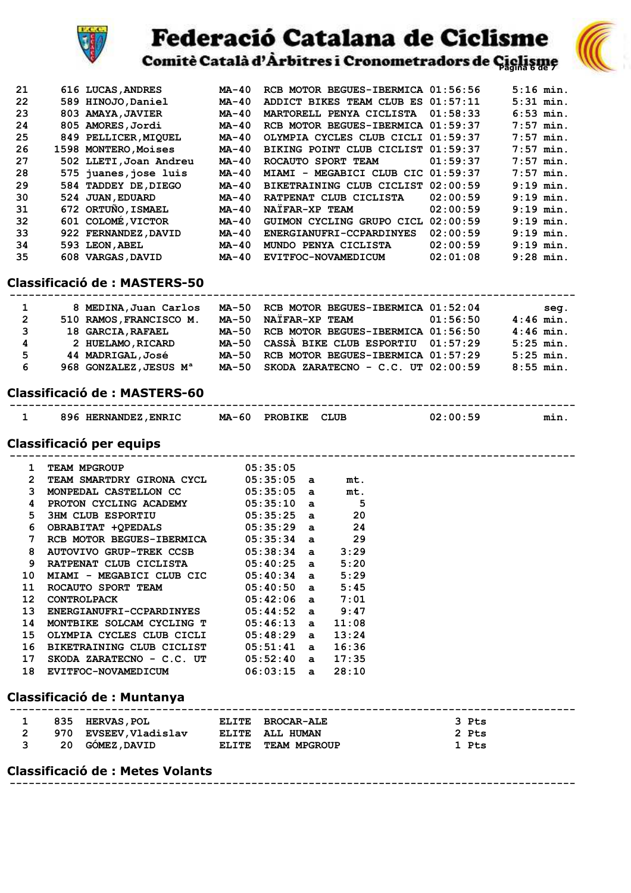

### Federació Catalana de Ciclisme



Comitè Català d'Àrbitres i Cronometradors de Cielisme

| 21 | 616 LUCAS, ANDRES      | MA-40        | RCB MOTOR BEGUES-IBERMICA 01:56:56 |          | $5:16$ min. |
|----|------------------------|--------------|------------------------------------|----------|-------------|
| 22 | 589 HINOJO, Daniel     | $MA-40$      | ADDICT BIKES TEAM CLUB ES 01:57:11 |          | $5:31$ min. |
| 23 | 803 AMAYA, JAVIER      | $MA-40$      | MARTORELL PENYA CICLISTA           | 01:58:33 | $6:53$ min. |
| 24 | 805 AMORES, Jordi      | $MA-40$      | RCB MOTOR BEGUES-IBERMICA 01:59:37 |          | $7:57$ min. |
| 25 | 849 PELLICER, MIQUEL   | $MA-40$      | OLYMPIA CYCLES CLUB CICLI 01:59:37 |          | $7:57$ min. |
| 26 | 1598 MONTERO, Moises   | $MA-40$      | BIKING POINT CLUB CICLIST 01:59:37 |          | $7:57$ min. |
| 27 | 502 LLETI, Joan Andreu | $MA-40$      | ROCAUTO SPORT TEAM                 | 01:59:37 | $7:57$ min. |
| 28 | 575 juanes, jose luis  | $MA-40$      | MIAMI - MEGABICI CLUB CIC 01:59:37 |          | $7:57$ min. |
| 29 | 584 TADDEY DE, DIEGO   | $MA-40$      | BIKETRAINING CLUB CICLIST          | 02:00:59 | $9:19$ min. |
| 30 | 524 JUAN, EDUARD       | <b>MA-40</b> | RATPENAT CLUB CICLISTA             | 02:00:59 | $9:19$ min. |
| 31 | 672 ORTUNO, ISMAEL     | $MA-40$      | NATFAR-XP TEAM                     | 02:00:59 | $9:19$ min. |
| 32 | 601 COLOMÉ, VICTOR     | $MA-40$      | GUIMON CYCLING GRUPO CICL          | 02:00:59 | $9:19$ min. |
| 33 | 922 FERNANDEZ, DAVID   | $MA-40$      | ENERGIANUFRI-CCPARDINYES           | 02:00:59 | $9:19$ min. |
| 34 | 593 LEON, ABEL         | $MA-40$      | MUNDO PENYA CICLISTA               | 02:00:59 | $9:19$ min. |
| 35 | 608 VARGAS, DAVID      | $MA-40$      | EVITFOC-NOVAMEDICUM                | 02:01:08 | $9:28$ min. |
|    |                        |              |                                    |          |             |

#### **Classificació de : MASTERS-50**

| $\mathbf{1}$   | 8 MEDINA, Juan Carlos              | MA-50 RCB MOTOR BEGUES-IBERMICA 01:52:04 |          | sea.        |
|----------------|------------------------------------|------------------------------------------|----------|-------------|
| $\overline{2}$ | 510 RAMOS, FRANCISCO M.            | MA-50 NAÏFAR-XP TEAM                     | 01:56:50 | $4:46$ min. |
| 3              | 18 GARCIA, RAFAEL                  | MA-50 RCB MOTOR BEGUES-IBERMICA 01:56:50 |          | $4:46$ min. |
| 4              | 2 HUELAMO, RICARD                  | MA-50 CASSA BIKE CLUB ESPORTIU 01:57:29  |          | $5:25$ min. |
| 5              | 44 MADRIGAL, José                  | MA-50 RCB MOTOR BEGUES-IBERMICA 01:57:29 |          | $5:25$ min. |
| 6              | 968 GONZALEZ, JESUS M <sup>a</sup> | MA-50 SKODA ZARATECNO - C.C. UT 02:00:59 |          | $8:55$ min. |
|                |                                    |                                          |          |             |

#### **Classificació de : MASTERS-60**

 **----------------------------------------------------------------------------------------- 1 896 MA-60 PROBIKE CLUB 1 896 MA-60 PROBIKE** 

|  |    | 090 HENNANDEZ, ENNIC |  | END LAUBINE CLUB |  | , <b>02. UU.</b> J <i>J</i> |
|--|----|----------------------|--|------------------|--|-----------------------------|
|  |    |                      |  |                  |  |                             |
|  |    |                      |  |                  |  |                             |
|  | __ |                      |  |                  |  |                             |

 **Classificació per equips -----------------------------------------------------------------------------------------**

| 1                     | <b>TEAM MPGROUP</b>                    | 05:35:05     |              |       |
|-----------------------|----------------------------------------|--------------|--------------|-------|
| $\mathbf{2}^{\prime}$ | TEAM SMARTDRY GIRONA CYCL              | $05:35:05$ a |              | mt.   |
| 3                     | MONPEDAL CASTELLON CC                  | 05:35:05     | $\mathbf{a}$ | mt.   |
| 4                     | PROTON CYCLING ACADEMY                 | 05:35:10     | a            | $-5$  |
| 5                     | 3HM CLUB ESPORTIU                      | $05:35:25$ a |              | 20    |
| 6                     | OBRABITAT +OPEDALS 05:35:29 a          |              |              | 24    |
|                       | RCB MOTOR BEGUES-IBERMICA $05:35:34$ a |              |              | 29    |
| 8                     | AUTOVIVO GRUP-TREK CCSB 05:38:34 a     |              |              | 3:29  |
| 9                     | RATPENAT CLUB CICLISTA 05:40:25 a      |              |              | 5:20  |
| 10                    | $MIAMI - MEGABICI CLUB CIC 05:40:34 a$ |              |              | 5:29  |
| 11                    | ROCAUTO SPORT TEAM 05:40:50 a          |              |              | 5:45  |
| 12 <sup>1</sup>       | <b>CONTROLPACK</b>                     | 05:42:06 a   |              | 7:01  |
| 13                    | <b>ENERGIANUFRI-CCPARDINYES</b>        | $05:44:52$ a |              | 9:47  |
| 14                    | MONTBIKE SOLCAM CYCLING T              | $05:46:13$ a |              | 11:08 |
| 15                    | OLYMPIA CYCLES CLUB CICLI              | 05:48:29 a   |              | 13:24 |
| 16                    | BIKETRAINING CLUB CICLIST              | 05:51:41 a   |              | 16:36 |
| 17                    | SKODA ZARATECNO - C.C. UT              | 05:52:40 a   |              | 17:35 |
| 18                    | <b>EVITFOC-NOVAMEDICUM</b>             | $06:03:15$ a |              | 28:10 |

#### **Classificació de : Muntanya**

| 835 | <b>HERVAS, POL</b>      |       | ELITE BROCAR-ALE    | 3 Pts |
|-----|-------------------------|-------|---------------------|-------|
| 970 | <b>EVSEEV,Vladislav</b> |       | ELITE ALL HUMAN     | 2 Pts |
| 20  | <b>GOMEZ, DAVID</b>     | ELITE | <b>TEAM MPGROUP</b> | 1 Pts |

 **-----------------------------------------------------------------------------------------**

#### **Classificació de : Metes Volants**